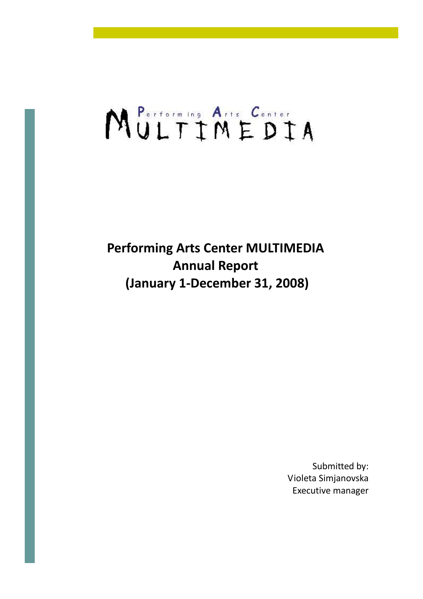# MULTIMEDIA

Performing Arts Center MULTIMEDIA Annual Report (January 1-December 31, 2008)

> Submitted by: Violeta Simjanovska Executive manager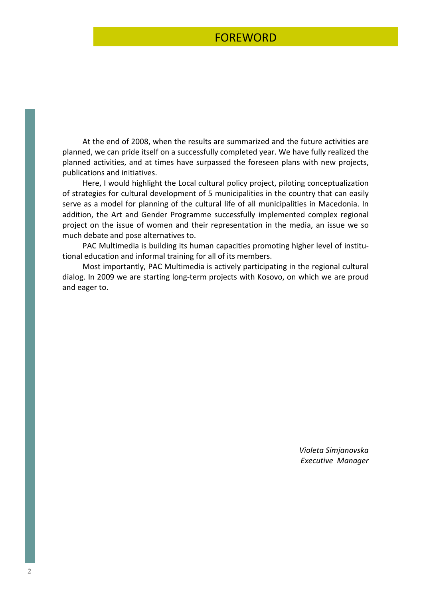### FOREWORD

 At the end of 2008, when the results are summarized and the future activities are planned, we can pride itself on a successfully completed year. We have fully realized the planned activities, and at times have surpassed the foreseen plans with new projects, publications and initiatives.

 Here, I would highlight the Local cultural policy project, piloting conceptualization of strategies for cultural development of 5 municipalities in the country that can easily serve as a model for planning of the cultural life of all municipalities in Macedonia. In addition, the Art and Gender Programme successfully implemented complex regional project on the issue of women and their representation in the media, an issue we so much debate and pose alternatives to.

 PAC Multimedia is building its human capacities promoting higher level of institutional education and informal training for all of its members.

 Most importantly, PAC Multimedia is actively participating in the regional cultural dialog. In 2009 we are starting long-term projects with Kosovo, on which we are proud and eager to.

> Violeta Simjanovska Executive Manager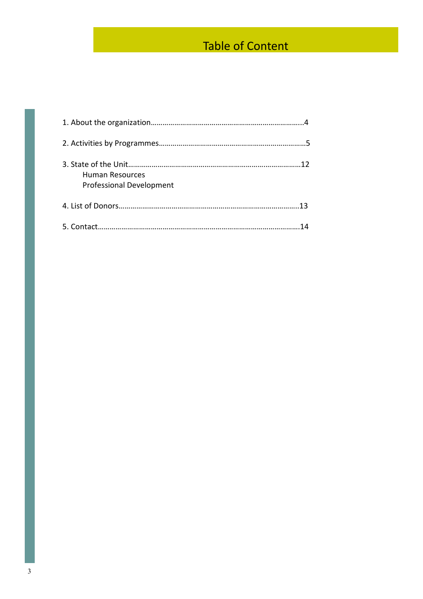## Table of Content

| Human Resources<br><b>Professional Development</b> |
|----------------------------------------------------|
|                                                    |
|                                                    |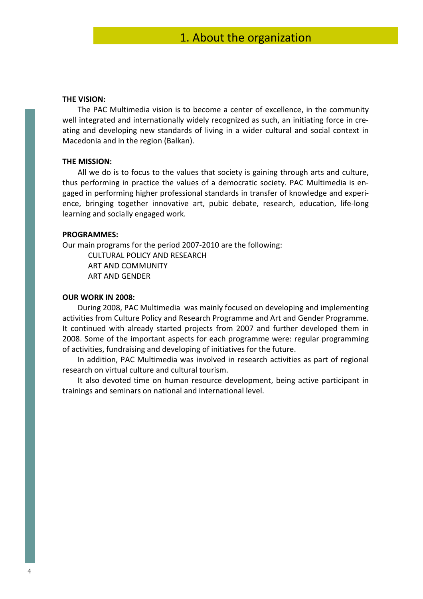#### THE VISION:

 The PAC Multimedia vision is to become a center of excellence, in the community well integrated and internationally widely recognized as such, an initiating force in creating and developing new standards of living in a wider cultural and social context in Macedonia and in the region (Balkan).

#### THE MISSION:

All we do is to focus to the values that society is gaining through arts and culture, thus performing in practice the values of a democratic society. PAC Multimedia is engaged in performing higher professional standards in transfer of knowledge and experience, bringing together innovative art, pubic debate, research, education, life-long learning and socially engaged work.

#### PROGRAMMES:

Our main programs for the period 2007-2010 are the following:

CULTURAL POLICY AND RESEARCH ART AND COMMUNITY ART AND GENDER

#### OUR WORK IN 2008:

 During 2008, PAC Multimedia was mainly focused on developing and implementing activities from Culture Policy and Research Programme and Art and Gender Programme. It continued with already started projects from 2007 and further developed them in 2008. Some of the important aspects for each programme were: regular programming of activities, fundraising and developing of initiatives for the future.

 In addition, PAC Multimedia was involved in research activities as part of regional research on virtual culture and cultural tourism.

 It also devoted time on human resource development, being active participant in trainings and seminars on national and international level.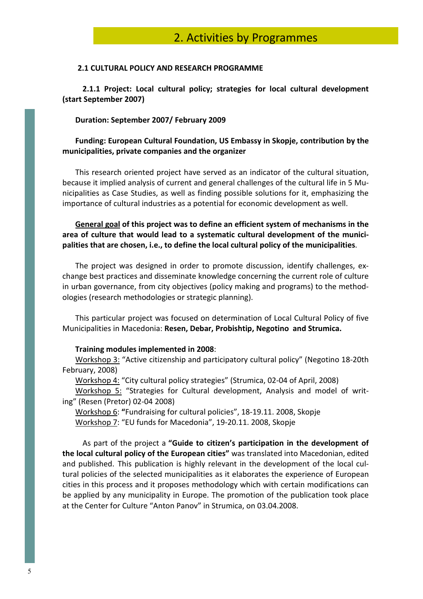#### 2.1 CULTURAL POLICY AND RESEARCH PROGRAMME

 2.1.1 Project: Local cultural policy; strategies for local cultural development (start September 2007)

#### Duration: September 2007/ February 2009

#### Funding: European Cultural Foundation, US Embassy in Skopje, contribution by the municipalities, private companies and the organizer

This research oriented project have served as an indicator of the cultural situation, because it implied analysis of current and general challenges of the cultural life in 5 Municipalities as Case Studies, as well as finding possible solutions for it, emphasizing the importance of cultural industries as a potential for economic development as well.

General goal of this project was to define an efficient system of mechanisms in the area of culture that would lead to a systematic cultural development of the municipalities that are chosen, i.e., to define the local cultural policy of the municipalities.

The project was designed in order to promote discussion, identify challenges, exchange best practices and disseminate knowledge concerning the current role of culture in urban governance, from city objectives (policy making and programs) to the methodologies (research methodologies or strategic planning).

This particular project was focused on determination of Local Cultural Policy of five Municipalities in Macedonia: Resen, Debar, Probishtip, Negotino and Strumica.

#### Training modules implemented in 2008:

Workshop 3: "Active citizenship and participatory cultural policy" (Negotino 18-20th February, 2008)

Workshop 4: "City cultural policy strategies" (Strumica, 02-04 of April, 2008)

Workshop 5: "Strategies for Cultural development, Analysis and model of writing" (Resen (Pretor) 02-04 2008)

Workshop 6: "Fundraising for cultural policies", 18-19.11. 2008, Skopje Workshop 7: "EU funds for Macedonia", 19-20.11. 2008, Skopje

 As part of the project a "Guide to citizen's participation in the development of the local cultural policy of the European cities" was translated into Macedonian, edited and published. This publication is highly relevant in the development of the local cultural policies of the selected municipalities as it elaborates the experience of European cities in this process and it proposes methodology which with certain modifications can be applied by any municipality in Europe. The promotion of the publication took place at the Center for Culture "Anton Panov" in Strumica, on 03.04.2008.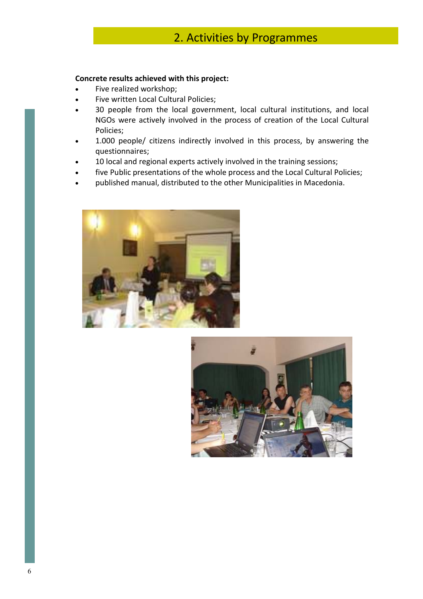#### Concrete results achieved with this project:

- Five realized workshop;
- Five written Local Cultural Policies;
- 30 people from the local government, local cultural institutions, and local NGOs were actively involved in the process of creation of the Local Cultural Policies;
- 1.000 people/ citizens indirectly involved in this process, by answering the questionnaires;
- 10 local and regional experts actively involved in the training sessions;
- five Public presentations of the whole process and the Local Cultural Policies;
- published manual, distributed to the other Municipalities in Macedonia.



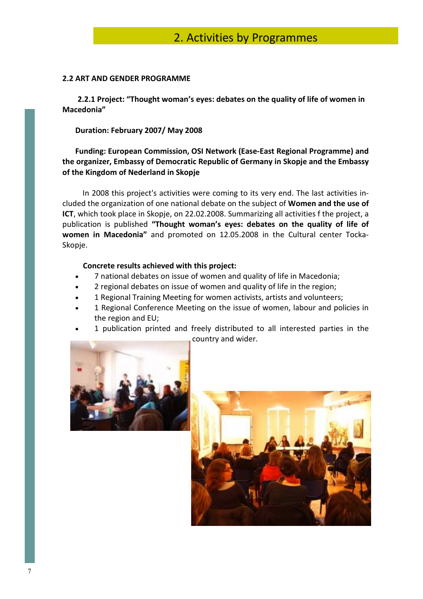#### 2.2 ART AND GENDER PROGRAMME

 2.2.1 Project: "Thought woman's eyes: debates on the quality of life of women in Macedonia"

#### Duration: February 2007/ May 2008

#### Funding: European Commission, OSI Network (Ease-East Regional Programme) and the organizer, Embassy of Democratic Republic of Germany in Skopje and the Embassy of the Kingdom of Nederland in Skopje

 In 2008 this project's activities were coming to its very end. The last activities included the organization of one national debate on the subject of Women and the use of ICT, which took place in Skopje, on 22.02.2008. Summarizing all activities f the project, a publication is published "Thought woman's eyes: debates on the quality of life of women in Macedonia" and promoted on 12.05.2008 in the Cultural center Tocka-Skopje.

#### Concrete results achieved with this project:

- 7 national debates on issue of women and quality of life in Macedonia;
- 2 regional debates on issue of women and quality of life in the region;
- 1 Regional Training Meeting for women activists, artists and volunteers;
- 1 Regional Conference Meeting on the issue of women, labour and policies in the region and EU;
- 1 publication printed and freely distributed to all interested parties in the country and wider.



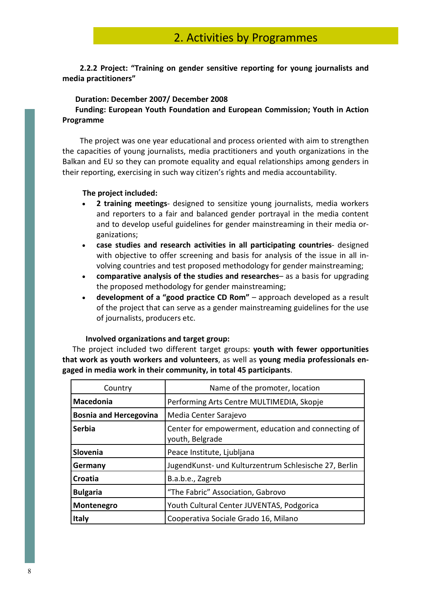2.2.2 Project: "Training on gender sensitive reporting for young journalists and media practitioners"

#### Duration: December 2007/ December 2008

#### Funding: European Youth Foundation and European Commission; Youth in Action Programme

 The project was one year educational and process oriented with aim to strengthen the capacities of young journalists, media practitioners and youth organizations in the Balkan and EU so they can promote equality and equal relationships among genders in their reporting, exercising in such way citizen's rights and media accountability.

#### The project included:

- 2 training meetings- designed to sensitize young journalists, media workers and reporters to a fair and balanced gender portrayal in the media content and to develop useful guidelines for gender mainstreaming in their media organizations;
- case studies and research activities in all participating countries- designed with objective to offer screening and basis for analysis of the issue in all involving countries and test proposed methodology for gender mainstreaming;
- comparative analysis of the studies and researches– as a basis for upgrading the proposed methodology for gender mainstreaming;
- development of a "good practice CD Rom" approach developed as a result of the project that can serve as a gender mainstreaming guidelines for the use of journalists, producers etc.

#### Involved organizations and target group:

 The project included two different target groups: youth with fewer opportunities that work as youth workers and volunteers, as well as young media professionals engaged in media work in their community, in total 45 participants.

| Country                       | Name of the promoter, location                                         |  |  |
|-------------------------------|------------------------------------------------------------------------|--|--|
| Macedonia                     | Performing Arts Centre MULTIMEDIA, Skopje                              |  |  |
| <b>Bosnia and Hercegovina</b> | Media Center Sarajevo                                                  |  |  |
| <b>Serbia</b>                 | Center for empowerment, education and connecting of<br>youth, Belgrade |  |  |
| Slovenia                      | Peace Institute, Ljubljana                                             |  |  |
| Germany                       | JugendKunst- und Kulturzentrum Schlesische 27, Berlin                  |  |  |
| Croatia                       | B.a.b.e., Zagreb                                                       |  |  |
| <b>Bulgaria</b>               | "The Fabric" Association, Gabrovo                                      |  |  |
| Montenegro                    | Youth Cultural Center JUVENTAS, Podgorica                              |  |  |
| <b>Italy</b>                  | Cooperativa Sociale Grado 16, Milano                                   |  |  |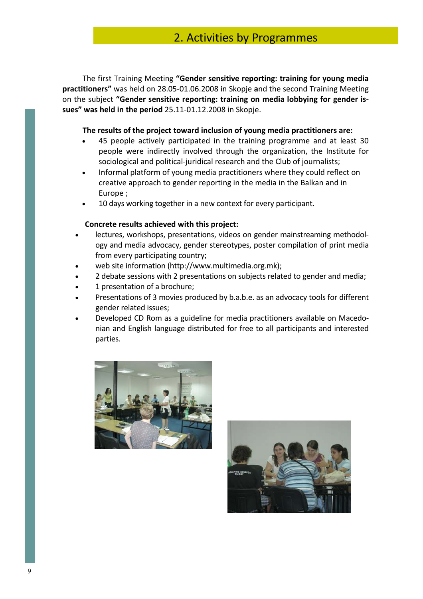The first Training Meeting "Gender sensitive reporting: training for young media practitioners" was held on 28.05-01.06.2008 in Skopje and the second Training Meeting on the subject "Gender sensitive reporting: training on media lobbying for gender issues" was held in the period 25.11-01.12.2008 in Skopje.

#### The results of the project toward inclusion of young media practitioners are:

- 45 people actively participated in the training programme and at least 30 people were indirectly involved through the organization, the Institute for sociological and political-juridical research and the Club of journalists;
- Informal platform of young media practitioners where they could reflect on creative approach to gender reporting in the media in the Balkan and in Europe ;
- 10 days working together in a new context for every participant.

#### Concrete results achieved with this project:

- lectures, workshops, presentations, videos on gender mainstreaming methodology and media advocacy, gender stereotypes, poster compilation of print media from every participating country;
- web site information (http://www.multimedia.org.mk);
- 2 debate sessions with 2 presentations on subjects related to gender and media;
- 1 presentation of a brochure;
- Presentations of 3 movies produced by b.a.b.e. as an advocacy tools for different gender related issues;
- Developed CD Rom as a guideline for media practitioners available on Macedonian and English language distributed for free to all participants and interested parties.



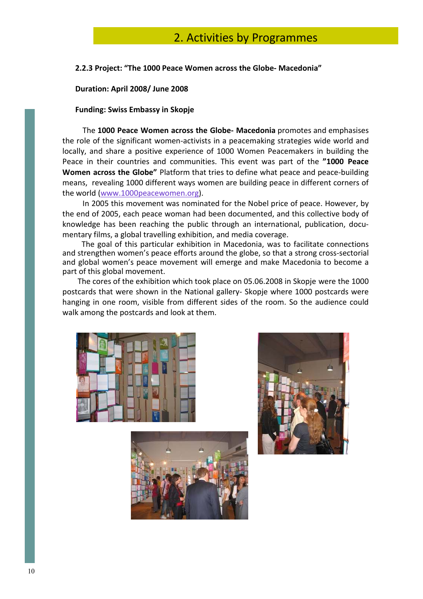#### 2.2.3 Project: "The 1000 Peace Women across the Globe- Macedonia"

#### Duration: April 2008/ June 2008

#### Funding: Swiss Embassy in Skopje

 The 1000 Peace Women across the Globe- Macedonia promotes and emphasises the role of the significant women-activists in a peacemaking strategies wide world and locally, and share a positive experience of 1000 Women Peacemakers in building the Peace in their countries and communities. This event was part of the "1000 Peace Women across the Globe" Platform that tries to define what peace and peace-building means, revealing 1000 different ways women are building peace in different corners of the world (www.1000peacewomen.org).

 In 2005 this movement was nominated for the Nobel price of peace. However, by the end of 2005, each peace woman had been documented, and this collective body of knowledge has been reaching the public through an international, publication, documentary films, a global travelling exhibition, and media coverage.

 The goal of this particular exhibition in Macedonia, was to facilitate connections and strengthen women's peace efforts around the globe, so that a strong cross-sectorial and global women's peace movement will emerge and make Macedonia to become a part of this global movement.

 The cores of the exhibition which took place on 05.06.2008 in Skopje were the 1000 postcards that were shown in the National gallery- Skopje where 1000 postcards were hanging in one room, visible from different sides of the room. So the audience could walk among the postcards and look at them.





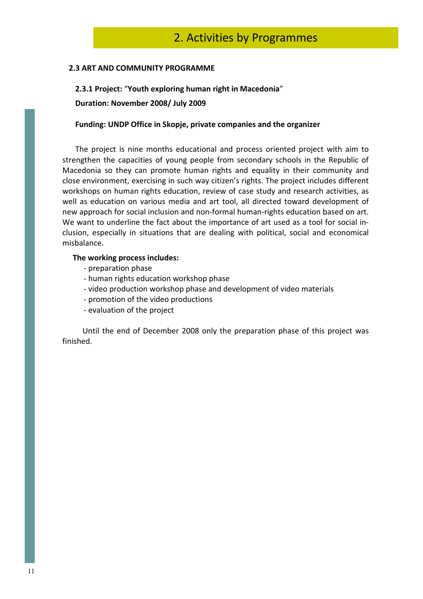#### 2.3 ART AND COMMUNITY PROGRAMME

## 2.3.1 Project: "Youth exploring human right in Macedonia"

Duration: November 2008/ July 2009

#### Funding: UNDP Office in Skopje, private companies and the organizer

 The project is nine months educational and process oriented project with aim to strengthen the capacities of young people from secondary schools in the Republic of Macedonia so they can promote human rights and equality in their community and close environment, exercising in such way citizen's rights. The project includes different workshops on human rights education, review of case study and research activities, as well as education on various media and art tool, all directed toward development of new approach for social inclusion and non-formal human-rights education based on art. We want to underline the fact about the importance of art used as a tool for social inclusion, especially in situations that are dealing with political, social and economical misbalance.

#### The working process includes:

- preparation phase
- human rights education workshop phase
- video production workshop phase and development of video materials
- promotion of the video productions
- evaluation of the project

 Until the end of December 2008 only the preparation phase of this project was finished.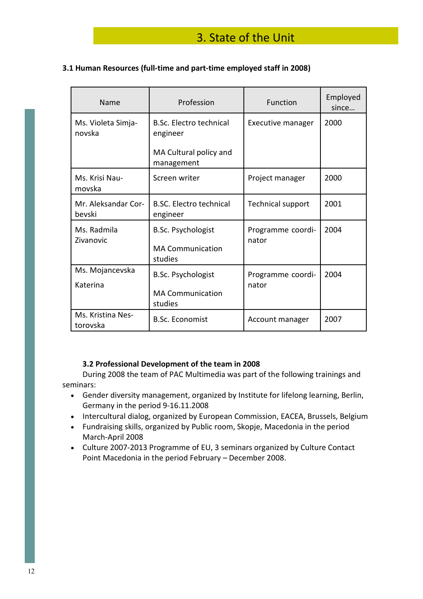## 3. State of the Unit

#### 3.1 Human Resources (full-time and part-time employed staff in 2008)

| Name                          | Profession                                                      | Function                   | Employed<br>since |
|-------------------------------|-----------------------------------------------------------------|----------------------------|-------------------|
| Ms. Violeta Simja-<br>novska  | <b>B.Sc. Electro technical</b><br>engineer                      | Executive manager          | 2000              |
|                               | MA Cultural policy and<br>management                            |                            |                   |
| Ms. Krisi Nau-<br>movska      | Screen writer                                                   | Project manager            | 2000              |
| Mr. Aleksandar Cor-<br>bevski | <b>B.SC. Electro technical</b><br>engineer                      | Technical support          | 2001              |
| Ms. Radmila<br>Zivanovic      | <b>B.Sc. Psychologist</b><br><b>MA Communication</b><br>studies | Programme coordi-<br>nator | 2004              |
| Ms. Mojancevska<br>Katerina   | <b>B.Sc. Psychologist</b><br><b>MA Communication</b><br>studies | Programme coordi-<br>nator | 2004              |
| Ms. Kristina Nes-<br>torovska | <b>B.Sc. Economist</b>                                          | Account manager            | 2007              |

#### 3.2 Professional Development of the team in 2008

 During 2008 the team of PAC Multimedia was part of the following trainings and seminars:

- Gender diversity management, organized by Institute for lifelong learning, Berlin, Germany in the period 9-16.11.2008
- Intercultural dialog, organized by European Commission, EACEA, Brussels, Belgium
- Fundraising skills, organized by Public room, Skopje, Macedonia in the period March-April 2008
- Culture 2007-2013 Programme of EU, 3 seminars organized by Culture Contact Point Macedonia in the period February – December 2008.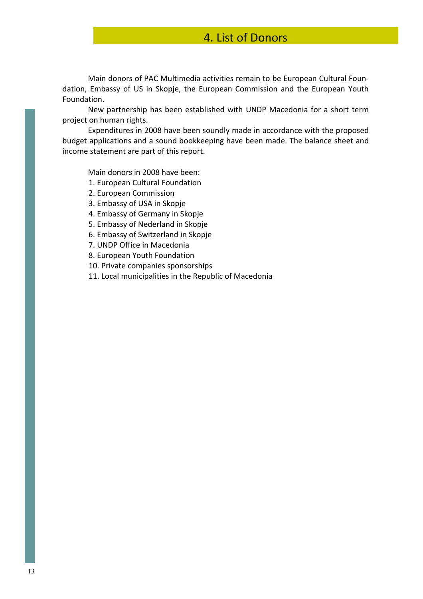## 4. List of Donors

Main donors of PAC Multimedia activities remain to be European Cultural Foundation, Embassy of US in Skopje, the European Commission and the European Youth Foundation.

New partnership has been established with UNDP Macedonia for a short term project on human rights.

Expenditures in 2008 have been soundly made in accordance with the proposed budget applications and a sound bookkeeping have been made. The balance sheet and income statement are part of this report.

Main donors in 2008 have been:

- 1. European Cultural Foundation
- 2. European Commission
- 3. Embassy of USA in Skopje
- 4. Embassy of Germany in Skopje
- 5. Embassy of Nederland in Skopje
- 6. Embassy of Switzerland in Skopje
- 7. UNDP Office in Macedonia
- 8. European Youth Foundation
- 10. Private companies sponsorships
- 11. Local municipalities in the Republic of Macedonia